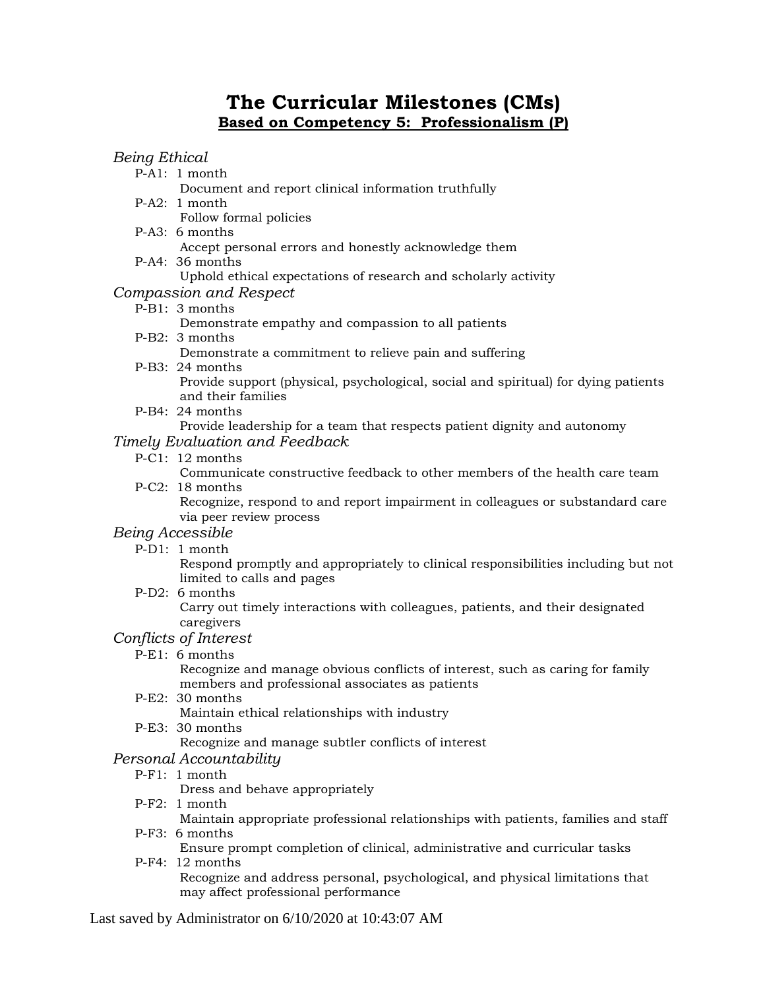# **The Curricular Milestones (CMs) Based on Competency 5: Professionalism (P)**

## *Being Ethical*

- P-A1: 1 month
	- Document and report clinical information truthfully
- P-A2: 1 month
	- Follow formal policies
- P-A3: 6 months
	- Accept personal errors and honestly acknowledge them
- P-A4: 36 months
	- Uphold ethical expectations of research and scholarly activity

# *Compassion and Respect*

## P-B1: 3 months

Demonstrate empathy and compassion to all patients

P-B2: 3 months

Demonstrate a commitment to relieve pain and suffering

P-B3: 24 months

Provide support (physical, psychological, social and spiritual) for dying patients and their families

P-B4: 24 months

Provide leadership for a team that respects patient dignity and autonomy

## *Timely Evaluation and Feedback*

P-C1: 12 months

Communicate constructive feedback to other members of the health care team P-C2: 18 months

Recognize, respond to and report impairment in colleagues or substandard care via peer review process

#### *Being Accessible*

P-D1: 1 month

Respond promptly and appropriately to clinical responsibilities including but not limited to calls and pages

P-D2: 6 months

Carry out timely interactions with colleagues, patients, and their designated caregivers

# *Conflicts of Interest*

P-E1: 6 months

Recognize and manage obvious conflicts of interest, such as caring for family members and professional associates as patients

P-E2: 30 months

Maintain ethical relationships with industry

P-E3: 30 months

Recognize and manage subtler conflicts of interest

## *Personal Accountability*

P-F1: 1 month

Dress and behave appropriately

P-F2: 1 month

Maintain appropriate professional relationships with patients, families and staff P-F3: 6 months

- Ensure prompt completion of clinical, administrative and curricular tasks
- P-F4: 12 months Recognize and address personal, psychological, and physical limitations that may affect professional performance

Last saved by Administrator on 6/10/2020 at 10:43:07 AM